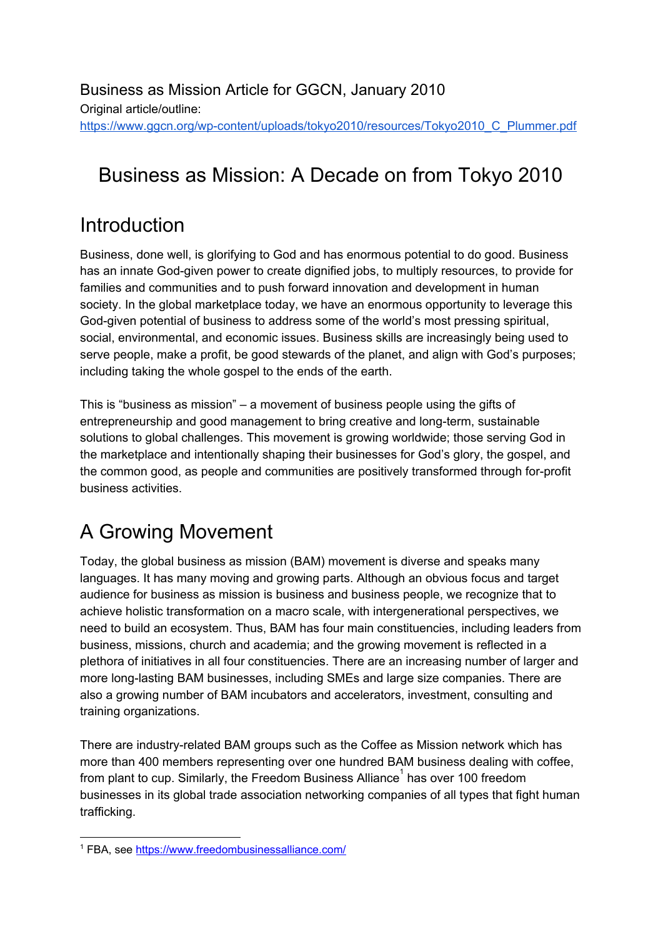# Business as Mission: A Decade on from Tokyo 2010

## Introduction

Business, done well, is glorifying to God and has enormous potential to do good. Business has an innate God-given power to create dignified jobs, to multiply resources, to provide for families and communities and to push forward innovation and development in human society. In the global marketplace today, we have an enormous opportunity to leverage this God-given potential of business to address some of the world's most pressing spiritual, social, environmental, and economic issues. Business skills are increasingly being used to serve people, make a profit, be good stewards of the planet, and align with God's purposes; including taking the whole gospel to the ends of the earth.

This is "business as mission" – a movement of business people using the gifts of entrepreneurship and good management to bring creative and long-term, sustainable solutions to global challenges. This movement is growing worldwide; those serving God in the marketplace and intentionally shaping their businesses for God's glory, the gospel, and the common good, as people and communities are positively transformed through for-profit business activities.

# A Growing Movement

Today, the global business as mission (BAM) movement is diverse and speaks many languages. It has many moving and growing parts. Although an obvious focus and target audience for business as mission is business and business people, we recognize that to achieve holistic transformation on a macro scale, with intergenerational perspectives, we need to build an ecosystem. Thus, BAM has four main constituencies, including leaders from business, missions, church and academia; and the growing movement is reflected in a plethora of initiatives in all four constituencies. There are an increasing number of larger and more long-lasting BAM businesses, including SMEs and large size companies. There are also a growing number of BAM incubators and accelerators, investment, consulting and training organizations.

There are industry-related BAM groups such as the Coffee as Mission network which has more than 400 members representing over one hundred BAM business dealing with coffee, from plant to cup. Similarly, the Freedom Business Alliance<sup>1</sup> has over 100 freedom businesses in its global trade association networking companies of all types that fight human trafficking.

<sup>1</sup> FBA, see <https://www.freedombusinessalliance.com/>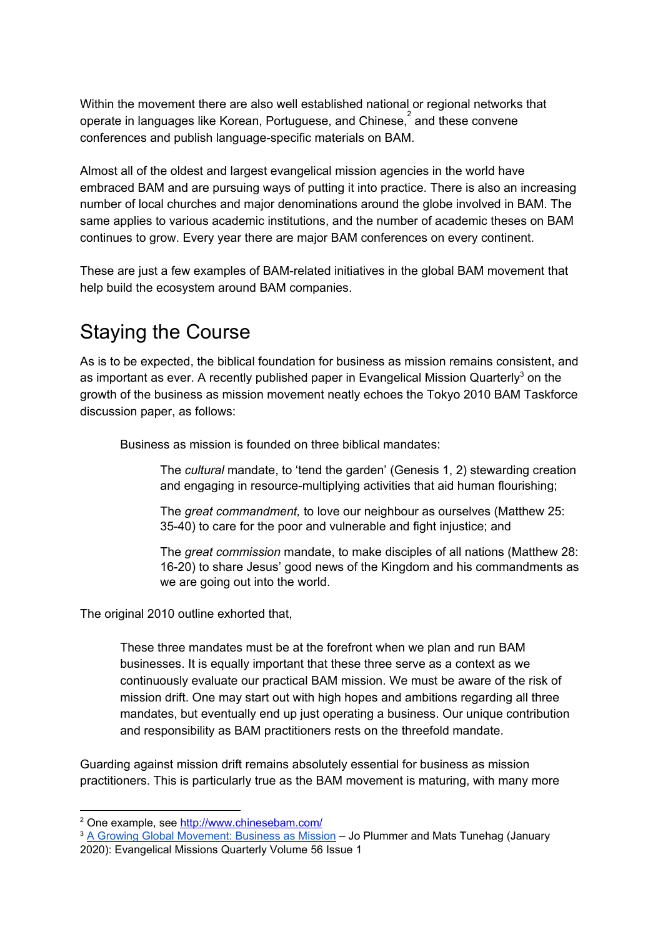Within the movement there are also well established national or regional networks that operate in languages like Korean, Portuguese, and Chinese,  $\hat{f}$  and these convene conferences and publish language-specific materials on BAM.

Almost all of the oldest and largest evangelical mission agencies in the world have embraced BAM and are pursuing ways of putting it into practice. There is also an increasing number of local churches and major denominations around the globe involved in BAM. The same applies to various academic institutions, and the number of academic theses on BAM continues to grow. Every year there are major BAM conferences on every continent.

These are just a few examples of BAM-related initiatives in the global BAM movement that help build the ecosystem around BAM companies.

## Staying the Course

As is to be expected, the biblical foundation for business as mission remains consistent, and as important as ever. A recently published paper in Evangelical Mission Quarterly<sup>3</sup> on the growth of the business as mission movement neatly echoes the Tokyo 2010 BAM Taskforce discussion paper, as follows:

Business as mission is founded on three biblical mandates:

The *cultural* mandate, to 'tend the garden' (Genesis 1, 2) stewarding creation and engaging in resource-multiplying activities that aid human flourishing;

The *great commandment,* to love our neighbour as ourselves (Matthew 25: 35-40) to care for the poor and vulnerable and fight injustice; and

The *great commission* mandate, to make disciples of all nations (Matthew 28: 16-20) to share Jesus' good news of the Kingdom and his commandments as we are going out into the world.

The original 2010 outline exhorted that,

These three mandates must be at the forefront when we plan and run BAM businesses. It is equally important that these three serve as a context as we continuously evaluate our practical BAM mission. We must be aware of the risk of mission drift. One may start out with high hopes and ambitions regarding all three mandates, but eventually end up just operating a business. Our unique contribution and responsibility as BAM practitioners rests on the threefold mandate.

Guarding against mission drift remains absolutely essential for business as mission practitioners. This is particularly true as the BAM movement is maturing, with many more

<sup>&</sup>lt;sup>2</sup> One example, see <http://www.chinesebam.com/>

<sup>&</sup>lt;sup>3</sup> A Growing Global [Movement:](https://missionexus.org/emq/emq-archives/emq-volume-56-issue-1/) Business as Mission – Jo Plummer and Mats Tunehag (January 2020): Evangelical Missions Quarterly Volume 56 Issue 1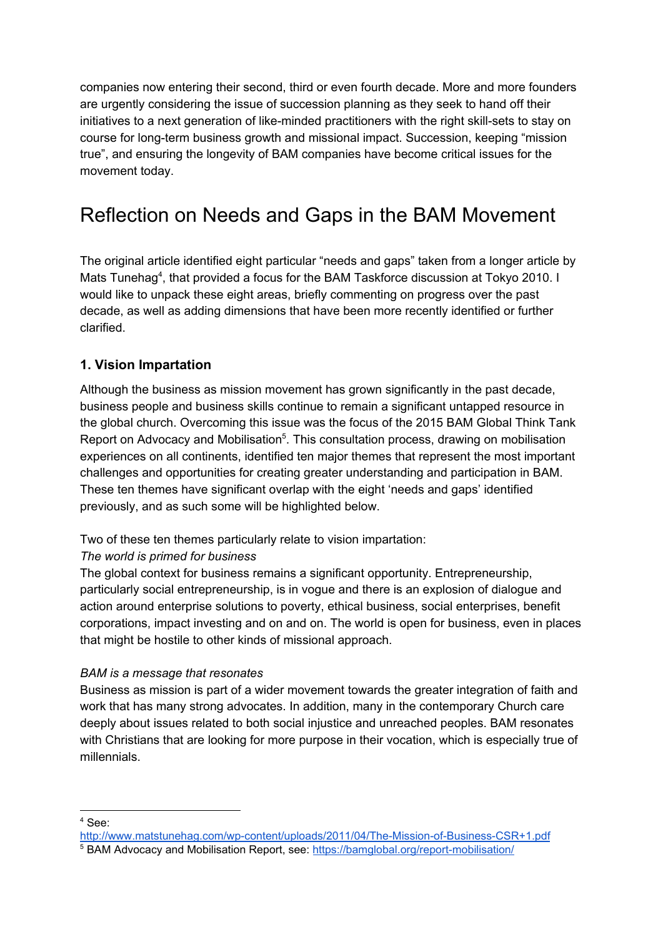companies now entering their second, third or even fourth decade. More and more founders are urgently considering the issue of succession planning as they seek to hand off their initiatives to a next generation of like-minded practitioners with the right skill-sets to stay on course for long-term business growth and missional impact. Succession, keeping "mission true", and ensuring the longevity of BAM companies have become critical issues for the movement today.

## Reflection on Needs and Gaps in the BAM Movement

The original article identified eight particular "needs and gaps" taken from a longer article by Mats Tunehag<sup>4</sup>, that provided a focus for the BAM Taskforce discussion at Tokyo 2010. I would like to unpack these eight areas, briefly commenting on progress over the past decade, as well as adding dimensions that have been more recently identified or further clarified.

#### **1. Vision Impartation**

Although the business as mission movement has grown significantly in the past decade, business people and business skills continue to remain a significant untapped resource in the global church. Overcoming this issue was the focus of the 2015 BAM Global Think Tank Report on Advocacy and Mobilisation<sup>5</sup>. This consultation process, drawing on mobilisation experiences on all continents, identified ten major themes that represent the most important challenges and opportunities for creating greater understanding and participation in BAM. These ten themes have significant overlap with the eight 'needs and gaps' identified previously, and as such some will be highlighted below.

#### Two of these ten themes particularly relate to vision impartation:

#### *The world is primed for business*

The global context for business remains a significant opportunity. Entrepreneurship, particularly social entrepreneurship, is in vogue and there is an explosion of dialogue and action around enterprise solutions to poverty, ethical business, social enterprises, benefit corporations, impact investing and on and on. The world is open for business, even in places that might be hostile to other kinds of missional approach.

#### *BAM is a message that resonates*

Business as mission is part of a wider movement towards the greater integration of faith and work that has many strong advocates. In addition, many in the contemporary Church care deeply about issues related to both social injustice and unreached peoples. BAM resonates with Christians that are looking for more purpose in their vocation, which is especially true of millennials.

<sup>4</sup> See:

<http://www.matstunehag.com/wp-content/uploads/2011/04/The-Mission-of-Business-CSR+1.pdf> <sup>5</sup> BAM Advocacy and Mobilisation Report, see: <https://bamglobal.org/report-mobilisation/>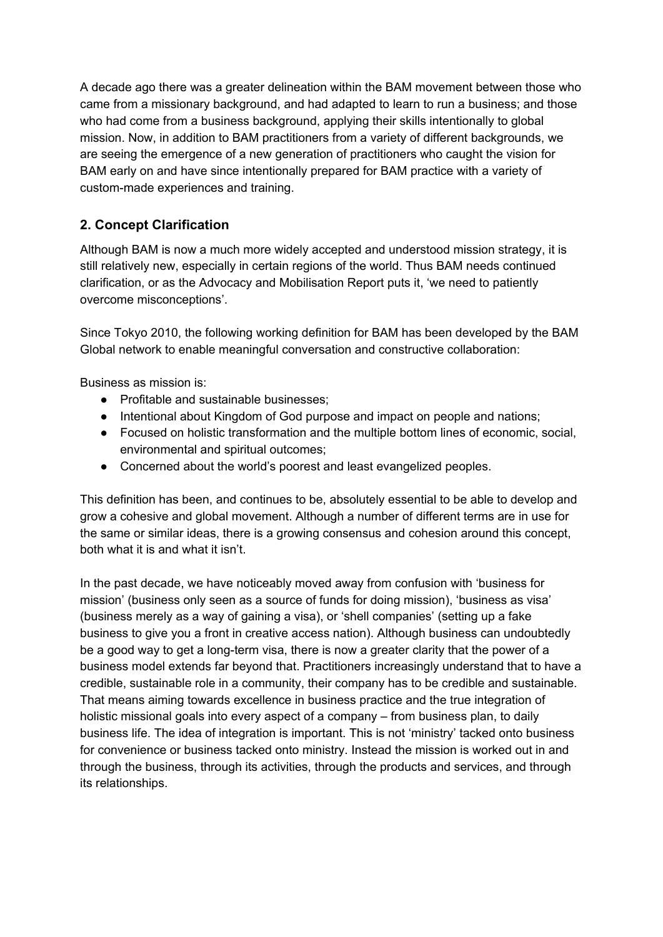A decade ago there was a greater delineation within the BAM movement between those who came from a missionary background, and had adapted to learn to run a business; and those who had come from a business background, applying their skills intentionally to global mission. Now, in addition to BAM practitioners from a variety of different backgrounds, we are seeing the emergence of a new generation of practitioners who caught the vision for BAM early on and have since intentionally prepared for BAM practice with a variety of custom-made experiences and training.

## **2. Concept Clarification**

Although BAM is now a much more widely accepted and understood mission strategy, it is still relatively new, especially in certain regions of the world. Thus BAM needs continued clarification, or as the Advocacy and Mobilisation Report puts it, 'we need to patiently overcome misconceptions'.

Since Tokyo 2010, the following working definition for BAM has been developed by the BAM Global network to enable meaningful conversation and constructive collaboration:

Business as mission is:

- Profitable and sustainable businesses;
- Intentional about Kingdom of God purpose and impact on people and nations;
- Focused on holistic transformation and the multiple bottom lines of economic, social, environmental and spiritual outcomes;
- Concerned about the world's poorest and least evangelized peoples.

This definition has been, and continues to be, absolutely essential to be able to develop and grow a cohesive and global movement. Although a number of different terms are in use for the same or similar ideas, there is a growing consensus and cohesion around this concept, both what it is and what it isn't.

In the past decade, we have noticeably moved away from confusion with 'business for mission' (business only seen as a source of funds for doing mission), 'business as visa' (business merely as a way of gaining a visa), or 'shell companies' (setting up a fake business to give you a front in creative access nation). Although business can undoubtedly be a good way to get a long-term visa, there is now a greater clarity that the power of a business model extends far beyond that. Practitioners increasingly understand that to have a credible, sustainable role in a community, their company has to be credible and sustainable. That means aiming towards excellence in business practice and the true integration of holistic missional goals into every aspect of a company – from business plan, to daily business life. The idea of integration is important. This is not 'ministry' tacked onto business for convenience or business tacked onto ministry. Instead the mission is worked out in and through the business, through its activities, through the products and services, and through its relationships.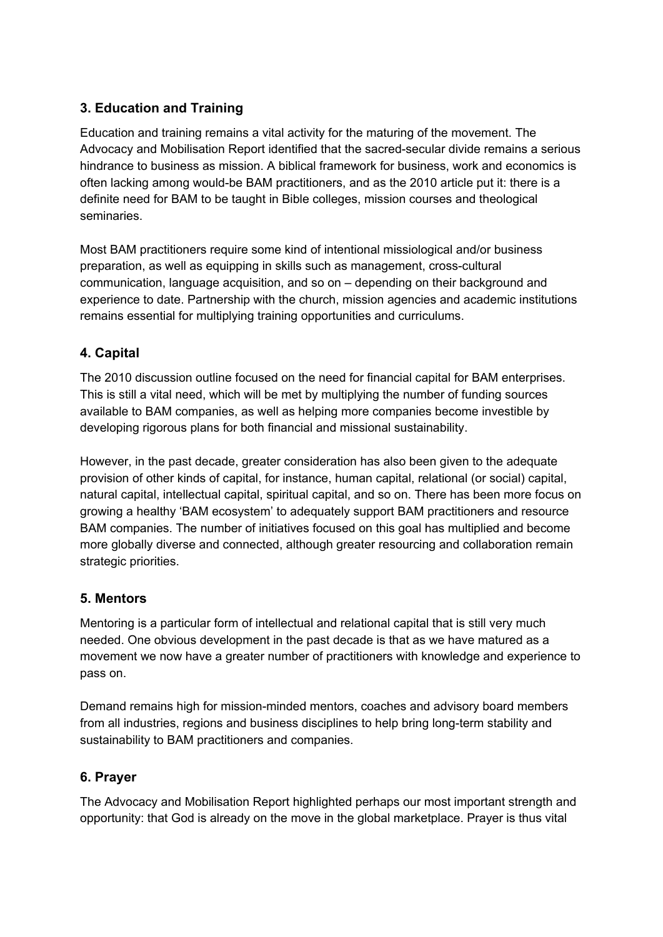## **3. Education and Training**

Education and training remains a vital activity for the maturing of the movement. The Advocacy and Mobilisation Report identified that the sacred-secular divide remains a serious hindrance to business as mission. A biblical framework for business, work and economics is often lacking among would-be BAM practitioners, and as the 2010 article put it: there is a definite need for BAM to be taught in Bible colleges, mission courses and theological seminaries.

Most BAM practitioners require some kind of intentional missiological and/or business preparation, as well as equipping in skills such as management, cross-cultural communication, language acquisition, and so on – depending on their background and experience to date. Partnership with the church, mission agencies and academic institutions remains essential for multiplying training opportunities and curriculums.

### **4. Capital**

The 2010 discussion outline focused on the need for financial capital for BAM enterprises. This is still a vital need, which will be met by multiplying the number of funding sources available to BAM companies, as well as helping more companies become investible by developing rigorous plans for both financial and missional sustainability.

However, in the past decade, greater consideration has also been given to the adequate provision of other kinds of capital, for instance, human capital, relational (or social) capital, natural capital, intellectual capital, spiritual capital, and so on. There has been more focus on growing a healthy 'BAM ecosystem' to adequately support BAM practitioners and resource BAM companies. The number of initiatives focused on this goal has multiplied and become more globally diverse and connected, although greater resourcing and collaboration remain strategic priorities.

#### **5. Mentors**

Mentoring is a particular form of intellectual and relational capital that is still very much needed. One obvious development in the past decade is that as we have matured as a movement we now have a greater number of practitioners with knowledge and experience to pass on.

Demand remains high for mission-minded mentors, coaches and advisory board members from all industries, regions and business disciplines to help bring long-term stability and sustainability to BAM practitioners and companies.

#### **6. Prayer**

The Advocacy and Mobilisation Report highlighted perhaps our most important strength and opportunity: that God is already on the move in the global marketplace. Prayer is thus vital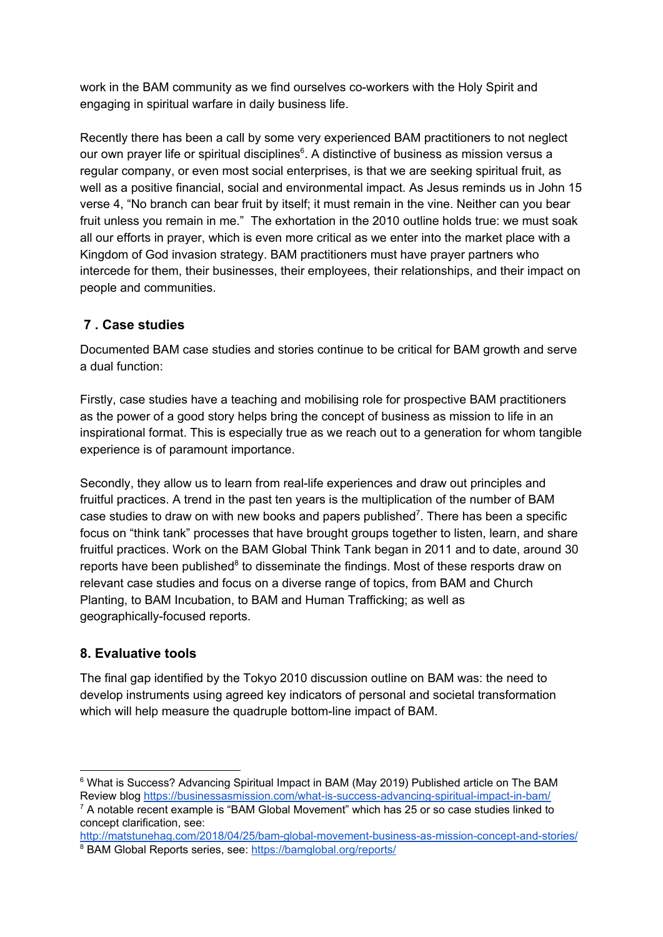work in the BAM community as we find ourselves co-workers with the Holy Spirit and engaging in spiritual warfare in daily business life.

Recently there has been a call by some very experienced BAM practitioners to not neglect our own prayer life or spiritual disciplines $6$ . A distinctive of business as mission versus a regular company, or even most social enterprises, is that we are seeking spiritual fruit, as well as a positive financial, social and environmental impact. As Jesus reminds us in John 15 verse 4, "No branch can bear fruit by itself; it must remain in the vine. Neither can you bear fruit unless you remain in me." The exhortation in the 2010 outline holds true: we must soak all our efforts in prayer, which is even more critical as we enter into the market place with a Kingdom of God invasion strategy. BAM practitioners must have prayer partners who intercede for them, their businesses, their employees, their relationships, and their impact on people and communities.

## **7 . Case studies**

Documented BAM case studies and stories continue to be critical for BAM growth and serve a dual function:

Firstly, case studies have a teaching and mobilising role for prospective BAM practitioners as the power of a good story helps bring the concept of business as mission to life in an inspirational format. This is especially true as we reach out to a generation for whom tangible experience is of paramount importance.

Secondly, they allow us to learn from real-life experiences and draw out principles and fruitful practices. A trend in the past ten years is the multiplication of the number of BAM case studies to draw on with new books and papers published<sup>7</sup>. There has been a specific focus on "think tank" processes that have brought groups together to listen, learn, and share fruitful practices. Work on the BAM Global Think Tank began in 2011 and to date, around 30 reports have been published $8$  to disseminate the findings. Most of these resports draw on relevant case studies and focus on a diverse range of topics, from BAM and Church Planting, to BAM Incubation, to BAM and Human Trafficking; as well as geographically-focused reports.

## **8. Evaluative tools**

The final gap identified by the Tokyo 2010 discussion outline on BAM was: the need to develop instruments using agreed key indicators of personal and societal transformation which will help measure the quadruple bottom-line impact of BAM.

<sup>&</sup>lt;sup>6</sup> What is Success? Advancing Spiritual Impact in BAM (May 2019) Published article on The BAM Review blog <https://businessasmission.com/what-is-success-advancing-spiritual-impact-in-bam/>

 $7$  A notable recent example is "BAM Global Movement" which has 25 or so case studies linked to concept clarification, see:

<http://matstunehag.com/2018/04/25/bam-global-movement-business-as-mission-concept-and-stories/> <sup>8</sup> BAM Global Reports series, see: <https://bamglobal.org/reports/>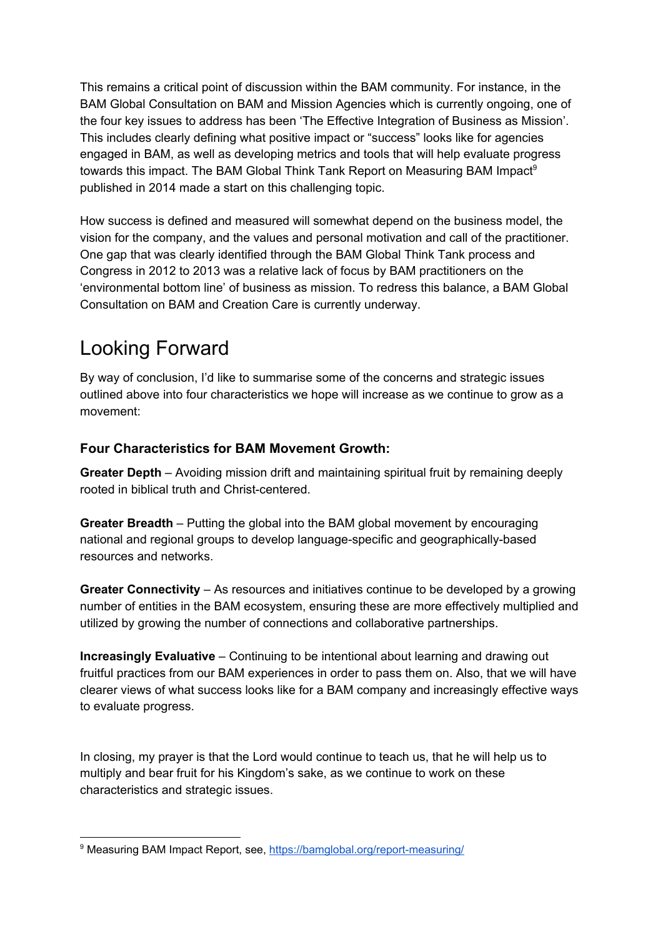This remains a critical point of discussion within the BAM community. For instance, in the BAM Global Consultation on BAM and Mission Agencies which is currently ongoing, one of the four key issues to address has been 'The Effective Integration of Business as Mission'. This includes clearly defining what positive impact or "success" looks like for agencies engaged in BAM, as well as developing metrics and tools that will help evaluate progress towards this impact. The BAM Global Think Tank Report on Measuring BAM Impact<sup>9</sup> published in 2014 made a start on this challenging topic.

How success is defined and measured will somewhat depend on the business model, the vision for the company, and the values and personal motivation and call of the practitioner. One gap that was clearly identified through the BAM Global Think Tank process and Congress in 2012 to 2013 was a relative lack of focus by BAM practitioners on the 'environmental bottom line' of business as mission. To redress this balance, a BAM Global Consultation on BAM and Creation Care is currently underway.

# Looking Forward

By way of conclusion, I'd like to summarise some of the concerns and strategic issues outlined above into four characteristics we hope will increase as we continue to grow as a movement:

## **Four Characteristics for BAM Movement Growth:**

**Greater Depth** – Avoiding mission drift and maintaining spiritual fruit by remaining deeply rooted in biblical truth and Christ-centered.

**Greater Breadth** – Putting the global into the BAM global movement by encouraging national and regional groups to develop language-specific and geographically-based resources and networks.

**Greater Connectivity** – As resources and initiatives continue to be developed by a growing number of entities in the BAM ecosystem, ensuring these are more effectively multiplied and utilized by growing the number of connections and collaborative partnerships.

**Increasingly Evaluative** – Continuing to be intentional about learning and drawing out fruitful practices from our BAM experiences in order to pass them on. Also, that we will have clearer views of what success looks like for a BAM company and increasingly effective ways to evaluate progress.

In closing, my prayer is that the Lord would continue to teach us, that he will help us to multiply and bear fruit for his Kingdom's sake, as we continue to work on these characteristics and strategic issues.

<sup>&</sup>lt;sup>9</sup> Measuring BAM Impact Report, see, <https://bamglobal.org/report-measuring/>